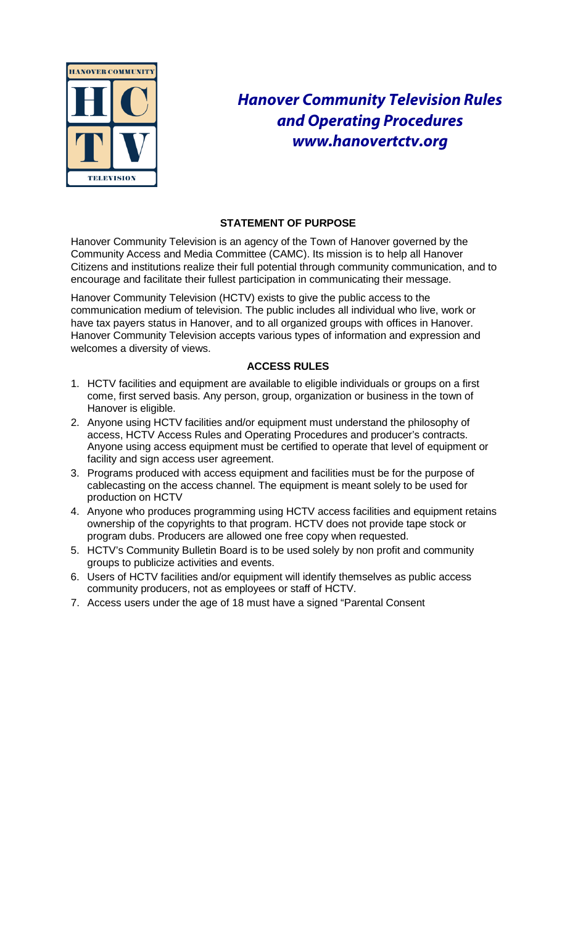

# *Hanover Community Television Rules and Operating Procedure[s](http://www.hanovertctv.com/) [www.hanovertctv.org](http://www.hanovertctv.com/)*

# **STATEMENT OF PURPOSE**

Hanover Community Television is an agency of the Town of Hanover governed by the Community Access and Media Committee (CAMC). Its mission is to help all Hanover Citizens and institutions realize their full potential through community communication, and to encourage and facilitate their fullest participation in communicating their message.

Hanover Community Television (HCTV) exists to give the public access to the communication medium of television. The public includes all individual who live, work or have tax payers status in Hanover, and to all organized groups with offices in Hanover. Hanover Community Television accepts various types of information and expression and welcomes a diversity of views.

# **ACCESS RULES**

- 1. HCTV facilities and equipment are available to eligible individuals or groups on a first come, first served basis. Any person, group, organization or business in the town of Hanover is eligible.
- 2. Anyone using HCTV facilities and/or equipment must understand the philosophy of access, HCTV Access Rules and Operating Procedures and producer's contracts. Anyone using access equipment must be certified to operate that level of equipment or facility and sign access user agreement.
- 3. Programs produced with access equipment and facilities must be for the purpose of cablecasting on the access channel. The equipment is meant solely to be used for production on HCTV
- 4. Anyone who produces programming using HCTV access facilities and equipment retains ownership of the copyrights to that program. HCTV does not provide tape stock or program dubs. Producers are allowed one free copy when requested.
- 5. HCTV's Community Bulletin Board is to be used solely by non profit and community groups to publicize activities and events.
- 6. Users of HCTV facilities and/or equipment will identify themselves as public access community producers, not as employees or staff of HCTV.
- 7. Access users under the age of 18 must have a signed "Parental Consent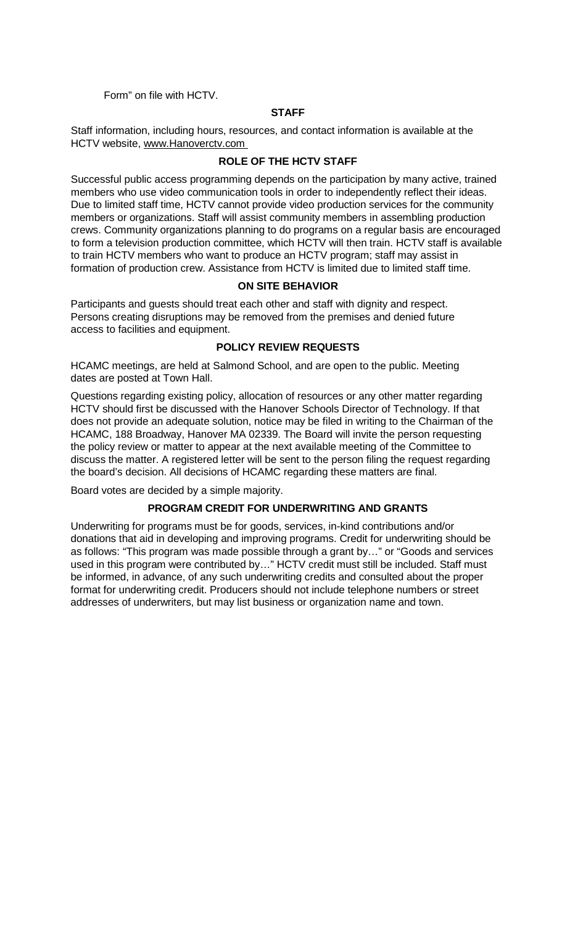Form" on file with HCTV.

## **STAFF**

Staff information, including hours, resources, and contact information is available at the HCTV website, [www.Hanoverctv.com](http://www.hanoverctv.com/)

#### **ROLE OF THE HCTV STAFF**

Successful public access programming depends on the participation by many active, trained members who use video communication tools in order to independently reflect their ideas. Due to limited staff time, HCTV cannot provide video production services for the community members or organizations. Staff will assist community members in assembling production crews. Community organizations planning to do programs on a regular basis are encouraged to form a television production committee, which HCTV will then train. HCTV staff is available to train HCTV members who want to produce an HCTV program; staff may assist in formation of production crew. Assistance from HCTV is limited due to limited staff time.

#### **ON SITE BEHAVIOR**

Participants and guests should treat each other and staff with dignity and respect. Persons creating disruptions may be removed from the premises and denied future access to facilities and equipment.

## **POLICY REVIEW REQUESTS**

HCAMC meetings, are held at Salmond School, and are open to the public. Meeting dates are posted at Town Hall.

Questions regarding existing policy, allocation of resources or any other matter regarding HCTV should first be discussed with the Hanover Schools Director of Technology. If that does not provide an adequate solution, notice may be filed in writing to the Chairman of the HCAMC, 188 Broadway, Hanover MA 02339. The Board will invite the person requesting the policy review or matter to appear at the next available meeting of the Committee to discuss the matter. A registered letter will be sent to the person filing the request regarding the board's decision. All decisions of HCAMC regarding these matters are final.

Board votes are decided by a simple majority.

# **PROGRAM CREDIT FOR UNDERWRITING AND GRANTS**

Underwriting for programs must be for goods, services, in-kind contributions and/or donations that aid in developing and improving programs. Credit for underwriting should be as follows: "This program was made possible through a grant by…" or "Goods and services used in this program were contributed by…" HCTV credit must still be included. Staff must be informed, in advance, of any such underwriting credits and consulted about the proper format for underwriting credit. Producers should not include telephone numbers or street addresses of underwriters, but may list business or organization name and town.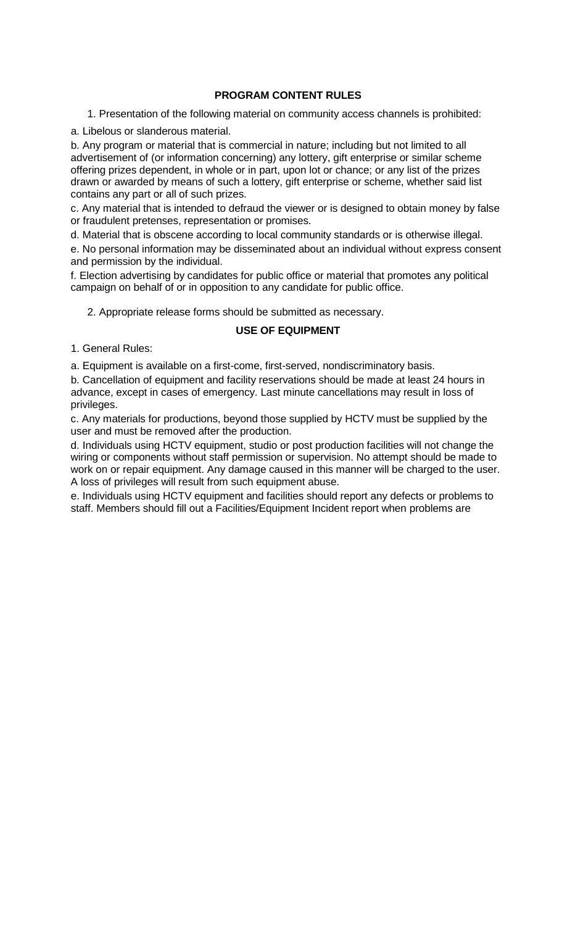## **PROGRAM CONTENT RULES**

1. Presentation of the following material on community access channels is prohibited:

#### a. Libelous or slanderous material.

b. Any program or material that is commercial in nature; including but not limited to all advertisement of (or information concerning) any lottery, gift enterprise or similar scheme offering prizes dependent, in whole or in part, upon lot or chance; or any list of the prizes drawn or awarded by means of such a lottery, gift enterprise or scheme, whether said list contains any part or all of such prizes.

c. Any material that is intended to defraud the viewer or is designed to obtain money by false or fraudulent pretenses, representation or promises.

d. Material that is obscene according to local community standards or is otherwise illegal.

e. No personal information may be disseminated about an individual without express consent and permission by the individual.

f. Election advertising by candidates for public office or material that promotes any political campaign on behalf of or in opposition to any candidate for public office.

2. Appropriate release forms should be submitted as necessary.

## **USE OF EQUIPMENT**

1. General Rules:

a. Equipment is available on a first-come, first-served, nondiscriminatory basis.

b. Cancellation of equipment and facility reservations should be made at least 24 hours in advance, except in cases of emergency. Last minute cancellations may result in loss of privileges.

c. Any materials for productions, beyond those supplied by HCTV must be supplied by the user and must be removed after the production.

d. Individuals using HCTV equipment, studio or post production facilities will not change the wiring or components without staff permission or supervision. No attempt should be made to work on or repair equipment. Any damage caused in this manner will be charged to the user. A loss of privileges will result from such equipment abuse.

e. Individuals using HCTV equipment and facilities should report any defects or problems to staff. Members should fill out a Facilities/Equipment Incident report when problems are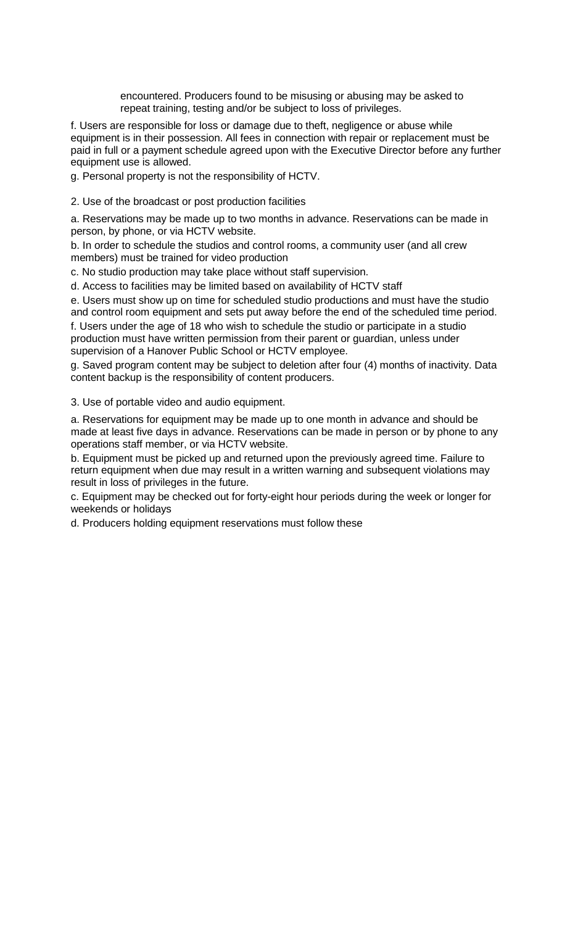encountered. Producers found to be misusing or abusing may be asked to repeat training, testing and/or be subject to loss of privileges.

f. Users are responsible for loss or damage due to theft, negligence or abuse while equipment is in their possession. All fees in connection with repair or replacement must be paid in full or a payment schedule agreed upon with the Executive Director before any further equipment use is allowed.

g. Personal property is not the responsibility of HCTV.

2. Use of the broadcast or post production facilities

a. Reservations may be made up to two months in advance. Reservations can be made in person, by phone, or via HCTV website.

b. In order to schedule the studios and control rooms, a community user (and all crew members) must be trained for video production

c. No studio production may take place without staff supervision.

d. Access to facilities may be limited based on availability of HCTV staff

e. Users must show up on time for scheduled studio productions and must have the studio and control room equipment and sets put away before the end of the scheduled time period. f. Users under the age of 18 who wish to schedule the studio or participate in a studio production must have written permission from their parent or guardian, unless under supervision of a Hanover Public School or HCTV employee.

g. Saved program content may be subject to deletion after four (4) months of inactivity. Data content backup is the responsibility of content producers.

3. Use of portable video and audio equipment.

a. Reservations for equipment may be made up to one month in advance and should be made at least five days in advance. Reservations can be made in person or by phone to any operations staff member, or via HCTV website.

b. Equipment must be picked up and returned upon the previously agreed time. Failure to return equipment when due may result in a written warning and subsequent violations may result in loss of privileges in the future.

c. Equipment may be checked out for forty-eight hour periods during the week or longer for weekends or holidays

d. Producers holding equipment reservations must follow these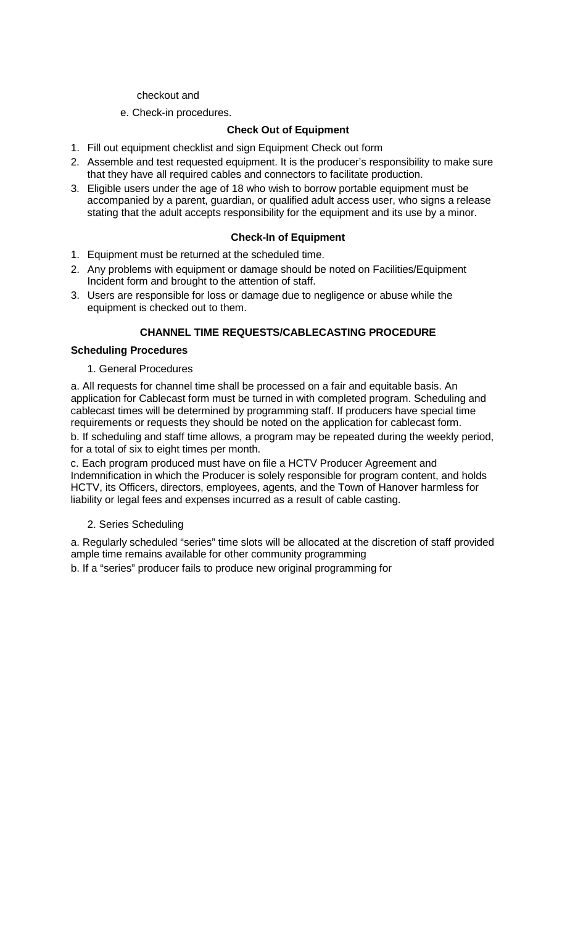#### checkout and

e. Check-in procedures.

# **Check Out of Equipment**

- 1. Fill out equipment checklist and sign Equipment Check out form
- 2. Assemble and test requested equipment. It is the producer's responsibility to make sure that they have all required cables and connectors to facilitate production.
- 3. Eligible users under the age of 18 who wish to borrow portable equipment must be accompanied by a parent, guardian, or qualified adult access user, who signs a release stating that the adult accepts responsibility for the equipment and its use by a minor.

# **Check-In of Equipment**

- 1. Equipment must be returned at the scheduled time.
- 2. Any problems with equipment or damage should be noted on Facilities/Equipment Incident form and brought to the attention of staff.
- 3. Users are responsible for loss or damage due to negligence or abuse while the equipment is checked out to them.

# **CHANNEL TIME REQUESTS/CABLECASTING PROCEDURE**

## **Scheduling Procedures**

1. General Procedures

a. All requests for channel time shall be processed on a fair and equitable basis. An application for Cablecast form must be turned in with completed program. Scheduling and cablecast times will be determined by programming staff. If producers have special time requirements or requests they should be noted on the application for cablecast form. b. If scheduling and staff time allows, a program may be repeated during the weekly period, for a total of six to eight times per month.

c. Each program produced must have on file a HCTV Producer Agreement and Indemnification in which the Producer is solely responsible for program content, and holds HCTV, its Officers, directors, employees, agents, and the Town of Hanover harmless for liability or legal fees and expenses incurred as a result of cable casting.

#### 2. Series Scheduling

a. Regularly scheduled "series" time slots will be allocated at the discretion of staff provided ample time remains available for other community programming

b. If a "series" producer fails to produce new original programming for